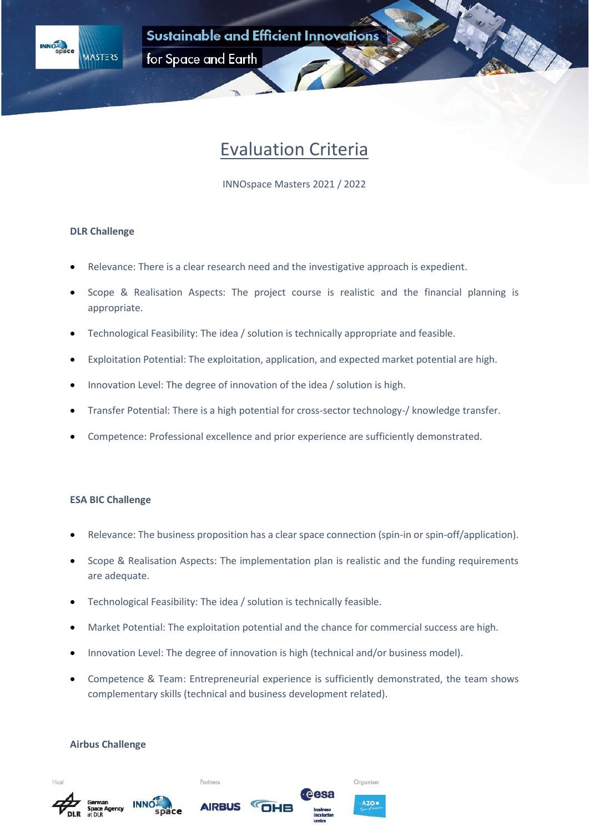



for Space and Earth

# Evaluation Criteria

INNOspace Masters 2021 / 2022

## **DLR Challenge**

- Relevance: There is a clear research need and the investigative approach is expedient.
- Scope & Realisation Aspects: The project course is realistic and the financial planning is appropriate.
- Technological Feasibility: The idea / solution is technically appropriate and feasible.
- Exploitation Potential: The exploitation, application, and expected market potential are high.
- Innovation Level: The degree of innovation of the idea / solution is high.
- Transfer Potential: There is a high potential for cross-sector technology-/ knowledge transfer.
- Competence: Professional excellence and prior experience are sufficiently demonstrated.

### **ESA BIC Challenge**

- Relevance: The business proposition has a clear space connection (spin-in or spin-off/application).
- Scope & Realisation Aspects: The implementation plan is realistic and the funding requirements are adequate.
- Technological Feasibility: The idea / solution is technically feasible.
- Market Potential: The exploitation potential and the chance for commercial success are high.
- Innovation Level: The degree of innovation is high (technical and/or business model).
- Competence & Team: Entrepreneurial experience is sufficiently demonstrated, the team shows complementary skills (technical and business development related).

Organiser

**AZO** 

#### **Airbus Challenge**







Partners